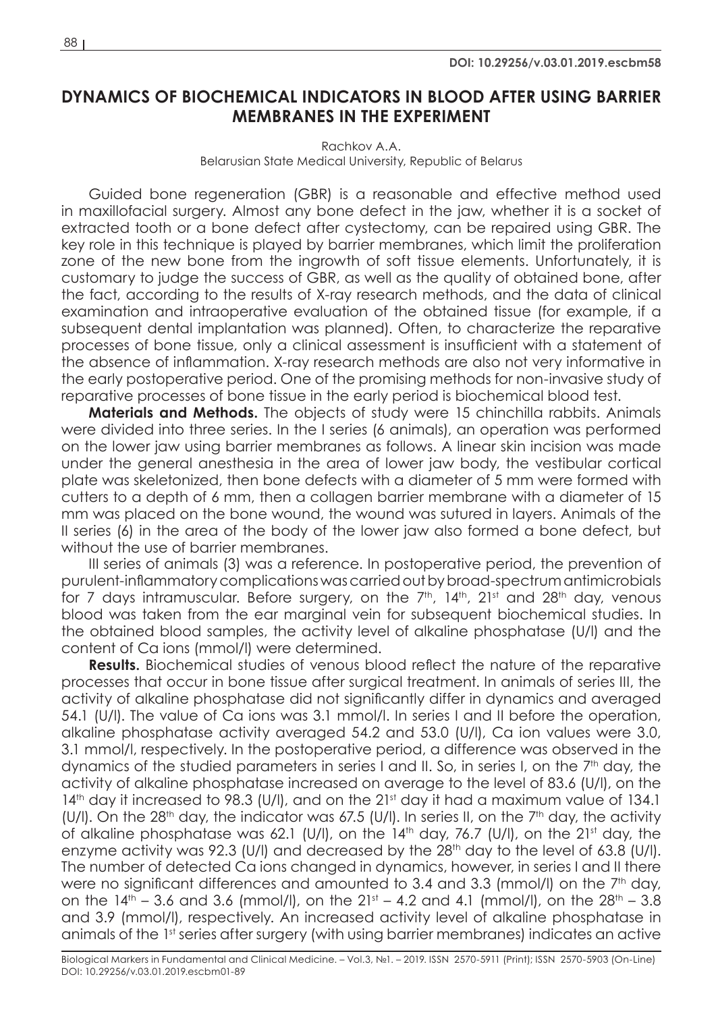## **DYNAMICS OF BIOCHEMICAL INDICATORS IN BLOOD AFTER USING BARRIER MEMBRANES IN THE EXPERIMENT**

Rachkov A.A. Belarusian State Medical University, Republic of Belarus

Guided bone regeneration (GBR) is a reasonable and effective method used in maxillofacial surgery. Almost any bone defect in the jaw, whether it is a socket of extracted tooth or a bone defect after cystectomy, can be repaired using GBR. The key role in this technique is played by barrier membranes, which limit the proliferation zone of the new bone from the ingrowth of soft tissue elements. Unfortunately, it is customary to judge the success of GBR, as well as the quality of obtained bone, after the fact, according to the results of X-ray research methods, and the data of clinical examination and intraoperative evaluation of the obtained tissue (for example, if a subsequent dental implantation was planned). Often, to characterize the reparative processes of bone tissue, only a clinical assessment is insufficient with a statement of the absence of inflammation. X-ray research methods are also not very informative in the early postoperative period. One of the promising methods for non-invasive study of reparative processes of bone tissue in the early period is biochemical blood test.

**Materials and Methods.** The objects of study were 15 chinchilla rabbits. Animals were divided into three series. In the I series (6 animals), an operation was performed on the lower jaw using barrier membranes as follows. A linear skin incision was made under the general anesthesia in the area of lower jaw body, the vestibular cortical plate was skeletonized, then bone defects with a diameter of 5 mm were formed with cutters to a depth of 6 mm, then a collagen barrier membrane with a diameter of 15 mm was placed on the bone wound, the wound was sutured in layers. Animals of the II series (6) in the area of the body of the lower jaw also formed a bone defect, but without the use of barrier membranes.

III series of animals (3) was a reference. In postoperative period, the prevention of purulent-inflammatory complications was carried out by broad-spectrum antimicrobials for 7 days intramuscular. Before surgery, on the  $7<sup>th</sup>$ ,  $14<sup>th</sup>$ ,  $21<sup>st</sup>$  and  $28<sup>th</sup>$  day, venous blood was taken from the ear marginal vein for subsequent biochemical studies. In the obtained blood samples, the activity level of alkaline phosphatase (U/l) and the content of Ca ions (mmol/l) were determined.

**Results.** Biochemical studies of venous blood reflect the nature of the reparative processes that occur in bone tissue after surgical treatment. In animals of series III, the activity of alkaline phosphatase did not significantly differ in dynamics and averaged 54.1 (U/l). The value of Ca ions was 3.1 mmol/l. In series I and II before the operation, alkaline phosphatase activity averaged 54.2 and 53.0 (U/l), Ca ion values were 3.0, 3.1 mmol/l, respectively. In the postoperative period, a difference was observed in the dynamics of the studied parameters in series I and II. So, in series I, on the  $7<sup>th</sup>$  day, the activity of alkaline phosphatase increased on average to the level of 83.6 (U/l), on the 14<sup>th</sup> day it increased to 98.3 (U/I), and on the 21<sup>st</sup> day it had a maximum value of 134.1 (U/I). On the 28<sup>th</sup> day, the indicator was 67.5 (U/I). In series II, on the  $7<sup>th</sup>$  day, the activity of alkaline phosphatase was 62.1 (U/I), on the  $14<sup>th</sup>$  day, 76.7 (U/I), on the  $21<sup>st</sup>$  day, the enzyme activity was 92.3 (U/I) and decreased by the  $28<sup>th</sup>$  day to the level of 63.8 (U/I). The number of detected Ca ions changed in dynamics, however, in series I and II there were no significant differences and amounted to 3.4 and 3.3 (mmol/I) on the 7<sup>th</sup> day, on the  $14^{th}$  – 3.6 and 3.6 (mmol/l), on the  $21^{st}$  – 4.2 and 4.1 (mmol/l), on the  $28^{th}$  – 3.8 and 3.9 (mmol/l), respectively. An increased activity level of alkaline phosphatase in animals of the 1st series after surgery (with using barrier membranes) indicates an active